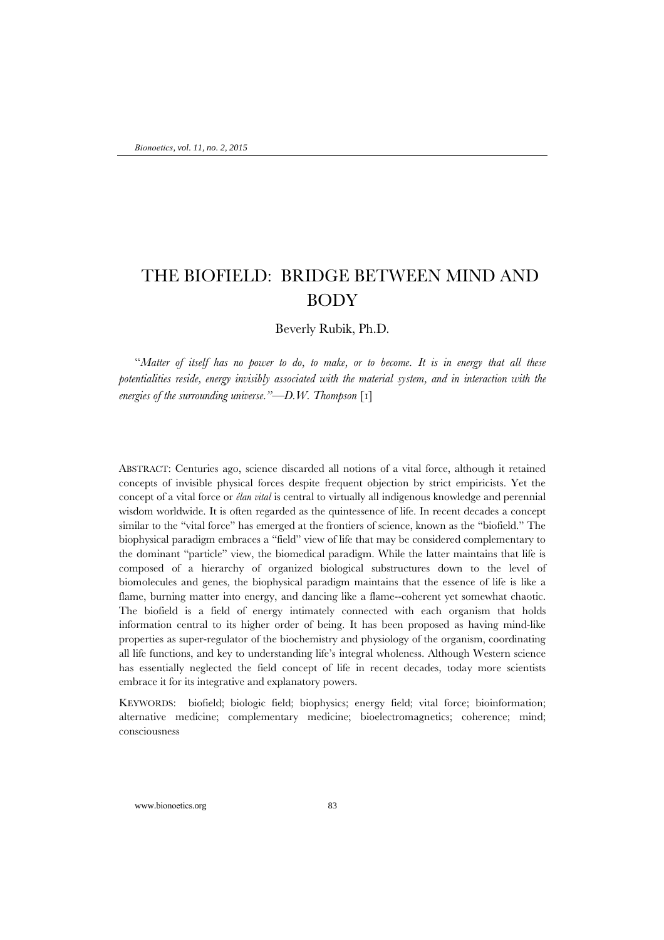# THE BIOFIELD: BRIDGE BETWEEN MIND AND BODY

Beverly Rubik, Ph.D.

"*Matter of itself has no power to do, to make, or to become. It is in energy that all these potentialities reside, energy invisibly associated with the material system, and in interaction with the energies of the surrounding universe."—D.W. Thompson* [1]

ABSTRACT: Centuries ago, science discarded all notions of a vital force, although it retained concepts of invisible physical forces despite frequent objection by strict empiricists. Yet the concept of a vital force or *élan vital* is central to virtually all indigenous knowledge and perennial wisdom worldwide. It is often regarded as the quintessence of life. In recent decades a concept similar to the "vital force" has emerged at the frontiers of science, known as the "biofield." The biophysical paradigm embraces a "field" view of life that may be considered complementary to the dominant "particle" view, the biomedical paradigm. While the latter maintains that life is composed of a hierarchy of organized biological substructures down to the level of biomolecules and genes, the biophysical paradigm maintains that the essence of life is like a flame, burning matter into energy, and dancing like a flame--coherent yet somewhat chaotic. The biofield is a field of energy intimately connected with each organism that holds information central to its higher order of being. It has been proposed as having mind-like properties as super-regulator of the biochemistry and physiology of the organism, coordinating all life functions, and key to understanding life's integral wholeness. Although Western science has essentially neglected the field concept of life in recent decades, today more scientists embrace it for its integrative and explanatory powers.

KEYWORDS: biofield; biologic field; biophysics; energy field; vital force; bioinformation; alternative medicine; complementary medicine; bioelectromagnetics; coherence; mind; consciousness

www.bionoetics.org 83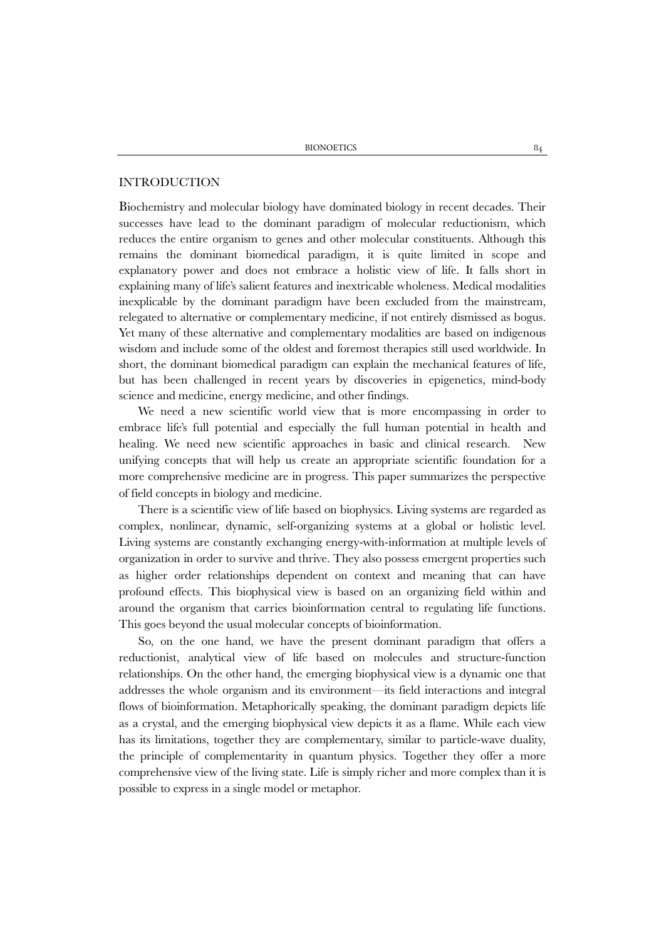# INTRODUCTION

Biochemistry and molecular biology have dominated biology in recent decades. Their successes have lead to the dominant paradigm of molecular reductionism, which reduces the entire organism to genes and other molecular constituents. Although this remains the dominant biomedical paradigm, it is quite limited in scope and explanatory power and does not embrace a holistic view of life. It falls short in explaining many of life's salient features and inextricable wholeness. Medical modalities inexplicable by the dominant paradigm have been excluded from the mainstream, relegated to alternative or complementary medicine, if not entirely dismissed as bogus. Yet many of these alternative and complementary modalities are based on indigenous wisdom and include some of the oldest and foremost therapies still used worldwide. In short, the dominant biomedical paradigm can explain the mechanical features of life, but has been challenged in recent years by discoveries in epigenetics, mind-body science and medicine, energy medicine, and other findings.

We need a new scientific world view that is more encompassing in order to embrace life's full potential and especially the full human potential in health and healing. We need new scientific approaches in basic and clinical research. New unifying concepts that will help us create an appropriate scientific foundation for a more comprehensive medicine are in progress. This paper summarizes the perspective of field concepts in biology and medicine.

There is a scientific view of life based on biophysics. Living systems are regarded as complex, nonlinear, dynamic, self-organizing systems at a global or holistic level. Living systems are constantly exchanging energy-with-information at multiple levels of organization in order to survive and thrive. They also possess emergent properties such as higher order relationships dependent on context and meaning that can have profound effects. This biophysical view is based on an organizing field within and around the organism that carries bioinformation central to regulating life functions. This goes beyond the usual molecular concepts of bioinformation.

So, on the one hand, we have the present dominant paradigm that offers a reductionist, analytical view of life based on molecules and structure-function relationships. On the other hand, the emerging biophysical view is a dynamic one that addresses the whole organism and its environment—its field interactions and integral flows of bioinformation. Metaphorically speaking, the dominant paradigm depicts life as a crystal, and the emerging biophysical view depicts it as a flame. While each view has its limitations, together they are complementary, similar to particle-wave duality, the principle of complementarity in quantum physics. Together they offer a more comprehensive view of the living state. Life is simply richer and more complex than it is possible to express in a single model or metaphor.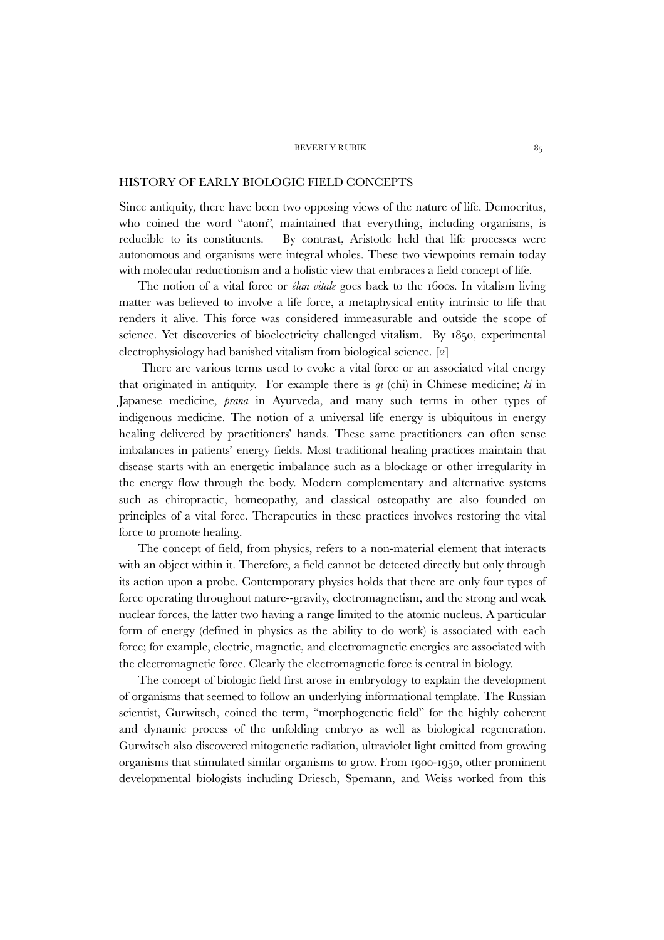#### HISTORY OF EARLY BIOLOGIC FIELD CONCEPTS

Since antiquity, there have been two opposing views of the nature of life. Democritus, who coined the word "atom", maintained that everything, including organisms, is reducible to its constituents. By contrast, Aristotle held that life processes were autonomous and organisms were integral wholes. These two viewpoints remain today with molecular reductionism and a holistic view that embraces a field concept of life.

The notion of a vital force or *élan vitale* goes back to the 1600s. In vitalism living matter was believed to involve a life force, a metaphysical entity intrinsic to life that renders it alive. This force was considered immeasurable and outside the scope of science. Yet discoveries of bioelectricity challenged vitalism. By 1850, experimental electrophysiology had banished vitalism from biological science. [2]

There are various terms used to evoke a vital force or an associated vital energy that originated in antiquity. For example there is  $qi$  (chi) in Chinese medicine;  $ki$  in Japanese medicine, *prana* in Ayurveda, and many such terms in other types of indigenous medicine. The notion of a universal life energy is ubiquitous in energy healing delivered by practitioners' hands. These same practitioners can often sense imbalances in patients' energy fields. Most traditional healing practices maintain that disease starts with an energetic imbalance such as a blockage or other irregularity in the energy flow through the body. Modern complementary and alternative systems such as chiropractic, homeopathy, and classical osteopathy are also founded on principles of a vital force. Therapeutics in these practices involves restoring the vital force to promote healing.

The concept of field, from physics, refers to a non-material element that interacts with an object within it. Therefore, a field cannot be detected directly but only through its action upon a probe. Contemporary physics holds that there are only four types of force operating throughout nature--gravity, electromagnetism, and the strong and weak nuclear forces, the latter two having a range limited to the atomic nucleus. A particular form of energy (defined in physics as the ability to do work) is associated with each force; for example, electric, magnetic, and electromagnetic energies are associated with the electromagnetic force. Clearly the electromagnetic force is central in biology.

The concept of biologic field first arose in embryology to explain the development of organisms that seemed to follow an underlying informational template. The Russian scientist, Gurwitsch, coined the term, "morphogenetic field" for the highly coherent and dynamic process of the unfolding embryo as well as biological regeneration. Gurwitsch also discovered mitogenetic radiation, ultraviolet light emitted from growing organisms that stimulated similar organisms to grow. From 1900-1950, other prominent developmental biologists including Driesch, Spemann, and Weiss worked from this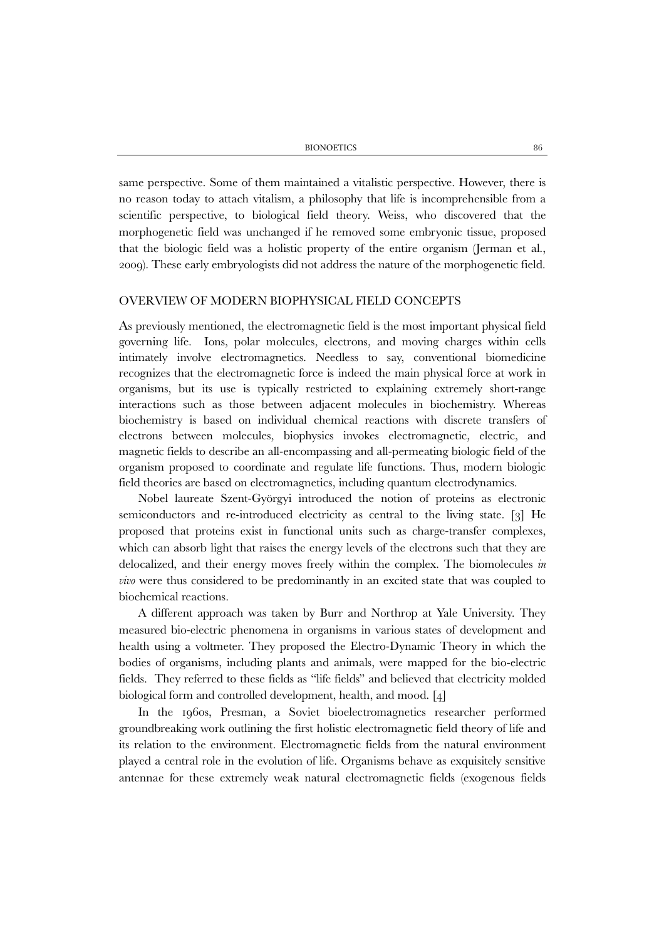BIONOETICS 86

same perspective. Some of them maintained a vitalistic perspective. However, there is no reason today to attach vitalism, a philosophy that life is incomprehensible from a scientific perspective, to biological field theory. Weiss, who discovered that the morphogenetic field was unchanged if he removed some embryonic tissue, proposed that the biologic field was a holistic property of the entire organism (Jerman et al., 2009). These early embryologists did not address the nature of the morphogenetic field.

# OVERVIEW OF MODERN BIOPHYSICAL FIELD CONCEPTS

As previously mentioned, the electromagnetic field is the most important physical field governing life. Ions, polar molecules, electrons, and moving charges within cells intimately involve electromagnetics. Needless to say, conventional biomedicine recognizes that the electromagnetic force is indeed the main physical force at work in organisms, but its use is typically restricted to explaining extremely short-range interactions such as those between adjacent molecules in biochemistry. Whereas biochemistry is based on individual chemical reactions with discrete transfers of electrons between molecules, biophysics invokes electromagnetic, electric, and magnetic fields to describe an all-encompassing and all-permeating biologic field of the organism proposed to coordinate and regulate life functions. Thus, modern biologic field theories are based on electromagnetics, including quantum electrodynamics.

Nobel laureate Szent-Györgyi introduced the notion of proteins as electronic semiconductors and re-introduced electricity as central to the living state. [3] He proposed that proteins exist in functional units such as charge-transfer complexes, which can absorb light that raises the energy levels of the electrons such that they are delocalized, and their energy moves freely within the complex. The biomolecules *in vivo* were thus considered to be predominantly in an excited state that was coupled to biochemical reactions.

A different approach was taken by Burr and Northrop at Yale University. They measured bio-electric phenomena in organisms in various states of development and health using a voltmeter. They proposed the Electro-Dynamic Theory in which the bodies of organisms, including plants and animals, were mapped for the bio-electric fields. They referred to these fields as "life fields" and believed that electricity molded biological form and controlled development, health, and mood. [4]

In the 1960s, Presman, a Soviet bioelectromagnetics researcher performed groundbreaking work outlining the first holistic electromagnetic field theory of life and its relation to the environment. Electromagnetic fields from the natural environment played a central role in the evolution of life. Organisms behave as exquisitely sensitive antennae for these extremely weak natural electromagnetic fields (exogenous fields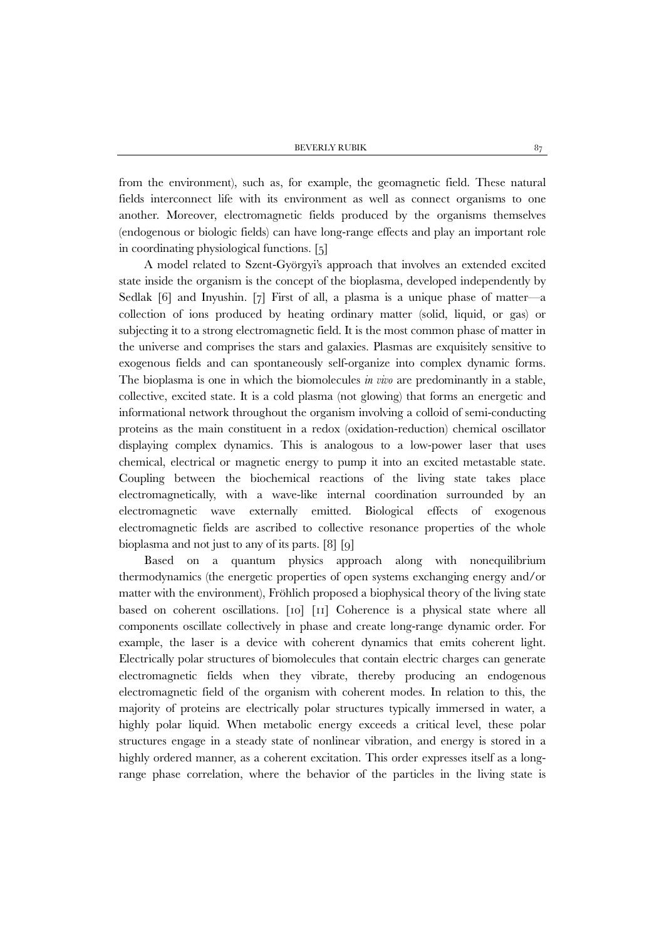from the environment), such as, for example, the geomagnetic field. These natural fields interconnect life with its environment as well as connect organisms to one another. Moreover, electromagnetic fields produced by the organisms themselves (endogenous or biologic fields) can have long-range effects and play an important role in coordinating physiological functions. [5]

 A model related to Szent-Györgyi's approach that involves an extended excited state inside the organism is the concept of the bioplasma, developed independently by Sedlak [6] and Inyushin. [7] First of all, a plasma is a unique phase of matter—a collection of ions produced by heating ordinary matter (solid, liquid, or gas) or subjecting it to a strong electromagnetic field. It is the most common phase of matter in the universe and comprises the stars and galaxies. Plasmas are exquisitely sensitive to exogenous fields and can spontaneously self-organize into complex dynamic forms. The bioplasma is one in which the biomolecules *in vivo* are predominantly in a stable, collective, excited state. It is a cold plasma (not glowing) that forms an energetic and informational network throughout the organism involving a colloid of semi-conducting proteins as the main constituent in a redox (oxidation-reduction) chemical oscillator displaying complex dynamics. This is analogous to a low-power laser that uses chemical, electrical or magnetic energy to pump it into an excited metastable state. Coupling between the biochemical reactions of the living state takes place electromagnetically, with a wave-like internal coordination surrounded by an electromagnetic wave externally emitted. Biological effects of exogenous electromagnetic fields are ascribed to collective resonance properties of the whole bioplasma and not just to any of its parts. [8] [9]

 Based on a quantum physics approach along with nonequilibrium thermodynamics (the energetic properties of open systems exchanging energy and/or matter with the environment), Fröhlich proposed a biophysical theory of the living state based on coherent oscillations. [10] [11] Coherence is a physical state where all components oscillate collectively in phase and create long-range dynamic order. For example, the laser is a device with coherent dynamics that emits coherent light. Electrically polar structures of biomolecules that contain electric charges can generate electromagnetic fields when they vibrate, thereby producing an endogenous electromagnetic field of the organism with coherent modes. In relation to this, the majority of proteins are electrically polar structures typically immersed in water, a highly polar liquid. When metabolic energy exceeds a critical level, these polar structures engage in a steady state of nonlinear vibration, and energy is stored in a highly ordered manner, as a coherent excitation. This order expresses itself as a longrange phase correlation, where the behavior of the particles in the living state is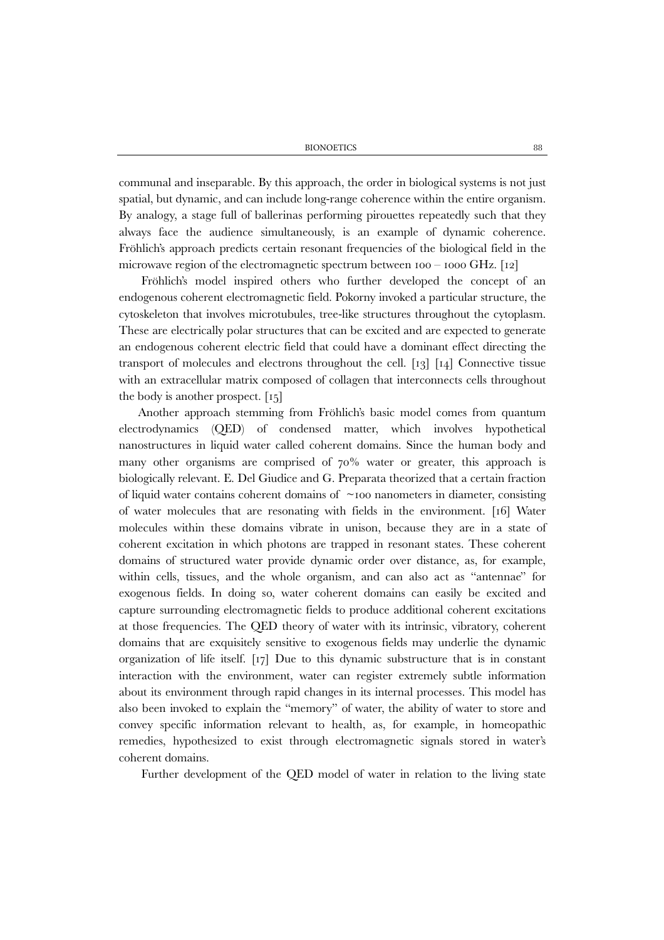communal and inseparable. By this approach, the order in biological systems is not just spatial, but dynamic, and can include long-range coherence within the entire organism. By analogy, a stage full of ballerinas performing pirouettes repeatedly such that they always face the audience simultaneously, is an example of dynamic coherence. Fröhlich's approach predicts certain resonant frequencies of the biological field in the microwave region of the electromagnetic spectrum between  $100 - 1000 \text{ GHz}$ . [12]

Fröhlich's model inspired others who further developed the concept of an endogenous coherent electromagnetic field. Pokorny invoked a particular structure, the cytoskeleton that involves microtubules, tree-like structures throughout the cytoplasm. These are electrically polar structures that can be excited and are expected to generate an endogenous coherent electric field that could have a dominant effect directing the transport of molecules and electrons throughout the cell. [13] [14] Connective tissue with an extracellular matrix composed of collagen that interconnects cells throughout the body is another prospect. [15]

Another approach stemming from Fröhlich's basic model comes from quantum electrodynamics (QED) of condensed matter, which involves hypothetical nanostructures in liquid water called coherent domains. Since the human body and many other organisms are comprised of 70% water or greater, this approach is biologically relevant. E. Del Giudice and G. Preparata theorized that a certain fraction of liquid water contains coherent domains of  $\sim$ 100 nanometers in diameter, consisting of water molecules that are resonating with fields in the environment. [16] Water molecules within these domains vibrate in unison, because they are in a state of coherent excitation in which photons are trapped in resonant states. These coherent domains of structured water provide dynamic order over distance, as, for example, within cells, tissues, and the whole organism, and can also act as "antennae" for exogenous fields. In doing so, water coherent domains can easily be excited and capture surrounding electromagnetic fields to produce additional coherent excitations at those frequencies. The QED theory of water with its intrinsic, vibratory, coherent domains that are exquisitely sensitive to exogenous fields may underlie the dynamic organization of life itself. [17] Due to this dynamic substructure that is in constant interaction with the environment, water can register extremely subtle information about its environment through rapid changes in its internal processes. This model has also been invoked to explain the "memory" of water, the ability of water to store and convey specific information relevant to health, as, for example, in homeopathic remedies, hypothesized to exist through electromagnetic signals stored in water's coherent domains.

Further development of the QED model of water in relation to the living state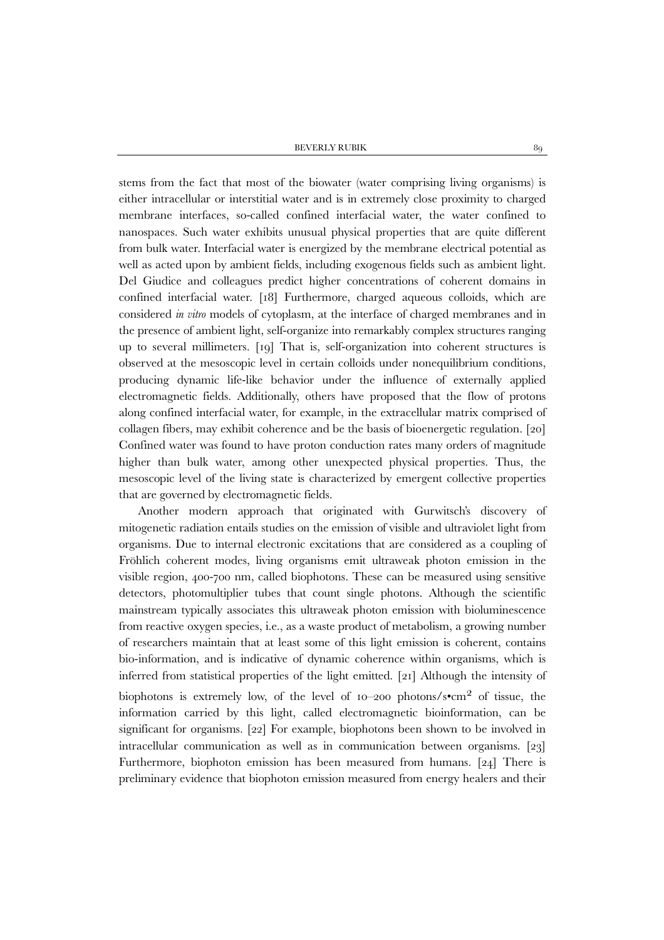BEVERLY RUBIK 89

stems from the fact that most of the biowater (water comprising living organisms) is either intracellular or interstitial water and is in extremely close proximity to charged membrane interfaces, so-called confined interfacial water, the water confined to nanospaces. Such water exhibits unusual physical properties that are quite different from bulk water. Interfacial water is energized by the membrane electrical potential as well as acted upon by ambient fields, including exogenous fields such as ambient light. Del Giudice and colleagues predict higher concentrations of coherent domains in confined interfacial water. [18] Furthermore, charged aqueous colloids, which are considered *in vitro* models of cytoplasm, at the interface of charged membranes and in the presence of ambient light, self-organize into remarkably complex structures ranging up to several millimeters. [19] That is, self-organization into coherent structures is observed at the mesoscopic level in certain colloids under nonequilibrium conditions, producing dynamic life-like behavior under the influence of externally applied electromagnetic fields. Additionally, others have proposed that the flow of protons along confined interfacial water, for example, in the extracellular matrix comprised of collagen fibers, may exhibit coherence and be the basis of bioenergetic regulation. [20] Confined water was found to have proton conduction rates many orders of magnitude higher than bulk water, among other unexpected physical properties. Thus, the mesoscopic level of the living state is characterized by emergent collective properties that are governed by electromagnetic fields.

Another modern approach that originated with Gurwitsch's discovery of mitogenetic radiation entails studies on the emission of visible and ultraviolet light from organisms. Due to internal electronic excitations that are considered as a coupling of Fröhlich coherent modes, living organisms emit ultraweak photon emission in the visible region, 400-700 nm, called biophotons. These can be measured using sensitive detectors, photomultiplier tubes that count single photons. Although the scientific mainstream typically associates this ultraweak photon emission with bioluminescence from reactive oxygen species, i.e., as a waste product of metabolism, a growing number of researchers maintain that at least some of this light emission is coherent, contains bio-information, and is indicative of dynamic coherence within organisms, which is inferred from statistical properties of the light emitted. [21] Although the intensity of biophotons is extremely low, of the level of  $10-200$  photons/s•cm<sup>2</sup> of tissue, the information carried by this light, called electromagnetic bioinformation, can be significant for organisms. [22] For example, biophotons been shown to be involved in intracellular communication as well as in communication between organisms. [23] Furthermore, biophoton emission has been measured from humans. [24] There is preliminary evidence that biophoton emission measured from energy healers and their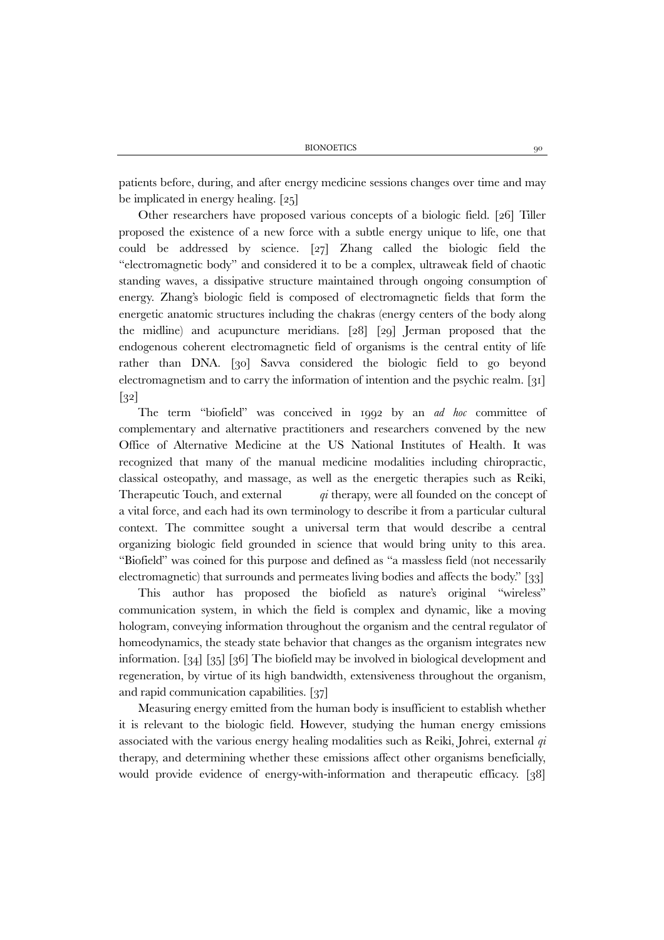patients before, during, and after energy medicine sessions changes over time and may be implicated in energy healing. [25]

Other researchers have proposed various concepts of a biologic field. [26] Tiller proposed the existence of a new force with a subtle energy unique to life, one that could be addressed by science. [27] Zhang called the biologic field the "electromagnetic body" and considered it to be a complex, ultraweak field of chaotic standing waves, a dissipative structure maintained through ongoing consumption of energy. Zhang's biologic field is composed of electromagnetic fields that form the energetic anatomic structures including the chakras (energy centers of the body along the midline) and acupuncture meridians. [28] [29] Jerman proposed that the endogenous coherent electromagnetic field of organisms is the central entity of life rather than DNA. [30] Savva considered the biologic field to go beyond electromagnetism and to carry the information of intention and the psychic realm. [31] [32]

The term "biofield" was conceived in 1992 by an *ad hoc* committee of complementary and alternative practitioners and researchers convened by the new Office of Alternative Medicine at the US National Institutes of Health. It was recognized that many of the manual medicine modalities including chiropractic, classical osteopathy, and massage, as well as the energetic therapies such as Reiki, Therapeutic Touch, and external *qi* therapy, were all founded on the concept of a vital force, and each had its own terminology to describe it from a particular cultural context. The committee sought a universal term that would describe a central organizing biologic field grounded in science that would bring unity to this area. "Biofield" was coined for this purpose and defined as "a massless field (not necessarily electromagnetic) that surrounds and permeates living bodies and affects the body." [33]

This author has proposed the biofield as nature's original "wireless" communication system, in which the field is complex and dynamic, like a moving hologram, conveying information throughout the organism and the central regulator of homeodynamics, the steady state behavior that changes as the organism integrates new information. [34] [35] [36] The biofield may be involved in biological development and regeneration, by virtue of its high bandwidth, extensiveness throughout the organism, and rapid communication capabilities. [37]

Measuring energy emitted from the human body is insufficient to establish whether it is relevant to the biologic field. However, studying the human energy emissions associated with the various energy healing modalities such as Reiki, Johrei, external *qi* therapy, and determining whether these emissions affect other organisms beneficially, would provide evidence of energy-with-information and therapeutic efficacy. [38]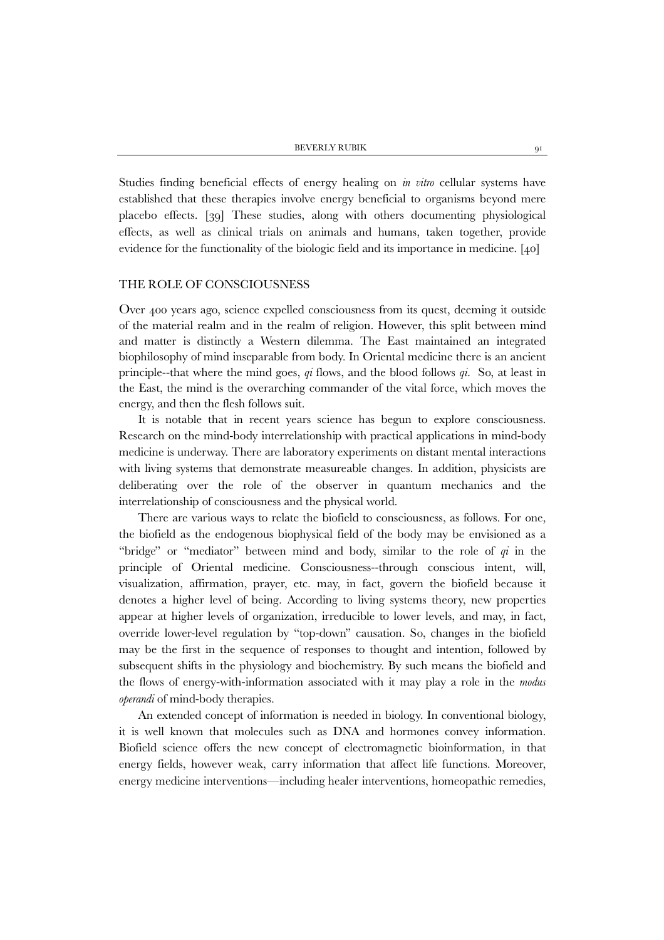Studies finding beneficial effects of energy healing on *in vitro* cellular systems have established that these therapies involve energy beneficial to organisms beyond mere placebo effects. [39] These studies, along with others documenting physiological effects, as well as clinical trials on animals and humans, taken together, provide evidence for the functionality of the biologic field and its importance in medicine. [40]

#### THE ROLE OF CONSCIOUSNESS

Over 400 years ago, science expelled consciousness from its quest, deeming it outside of the material realm and in the realm of religion. However, this split between mind and matter is distinctly a Western dilemma. The East maintained an integrated biophilosophy of mind inseparable from body. In Oriental medicine there is an ancient principle--that where the mind goes, *qi* flows, and the blood follows *qi*. So, at least in the East, the mind is the overarching commander of the vital force, which moves the energy, and then the flesh follows suit.

It is notable that in recent years science has begun to explore consciousness. Research on the mind-body interrelationship with practical applications in mind-body medicine is underway. There are laboratory experiments on distant mental interactions with living systems that demonstrate measureable changes. In addition, physicists are deliberating over the role of the observer in quantum mechanics and the interrelationship of consciousness and the physical world.

There are various ways to relate the biofield to consciousness, as follows. For one, the biofield as the endogenous biophysical field of the body may be envisioned as a "bridge" or "mediator" between mind and body, similar to the role of *qi* in the principle of Oriental medicine. Consciousness--through conscious intent, will, visualization, affirmation, prayer, etc. may, in fact, govern the biofield because it denotes a higher level of being. According to living systems theory, new properties appear at higher levels of organization, irreducible to lower levels, and may, in fact, override lower-level regulation by "top-down" causation. So, changes in the biofield may be the first in the sequence of responses to thought and intention, followed by subsequent shifts in the physiology and biochemistry. By such means the biofield and the flows of energy-with-information associated with it may play a role in the *modus operandi* of mind-body therapies.

An extended concept of information is needed in biology. In conventional biology, it is well known that molecules such as DNA and hormones convey information. Biofield science offers the new concept of electromagnetic bioinformation, in that energy fields, however weak, carry information that affect life functions. Moreover, energy medicine interventions—including healer interventions, homeopathic remedies,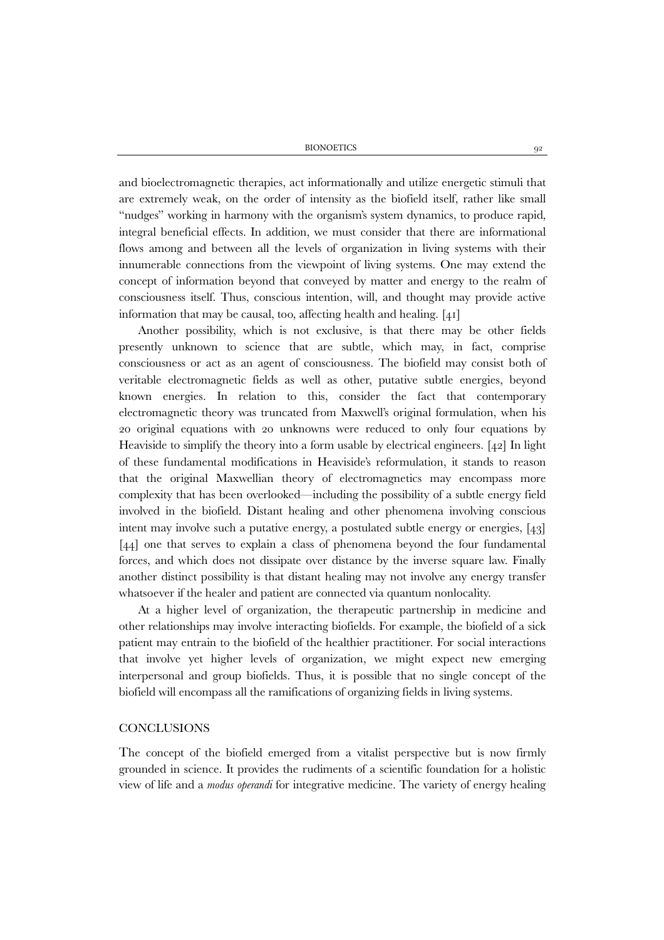BIONOETICS 92

and bioelectromagnetic therapies, act informationally and utilize energetic stimuli that are extremely weak, on the order of intensity as the biofield itself, rather like small "nudges" working in harmony with the organism's system dynamics, to produce rapid, integral beneficial effects. In addition, we must consider that there are informational flows among and between all the levels of organization in living systems with their innumerable connections from the viewpoint of living systems. One may extend the concept of information beyond that conveyed by matter and energy to the realm of consciousness itself. Thus, conscious intention, will, and thought may provide active information that may be causal, too, affecting health and healing. [41]

Another possibility, which is not exclusive, is that there may be other fields presently unknown to science that are subtle, which may, in fact, comprise consciousness or act as an agent of consciousness. The biofield may consist both of veritable electromagnetic fields as well as other, putative subtle energies, beyond known energies. In relation to this, consider the fact that contemporary electromagnetic theory was truncated from Maxwell's original formulation, when his 20 original equations with 20 unknowns were reduced to only four equations by Heaviside to simplify the theory into a form usable by electrical engineers. [42] In light of these fundamental modifications in Heaviside's reformulation, it stands to reason that the original Maxwellian theory of electromagnetics may encompass more complexity that has been overlooked—including the possibility of a subtle energy field involved in the biofield. Distant healing and other phenomena involving conscious intent may involve such a putative energy, a postulated subtle energy or energies, [43] [44] one that serves to explain a class of phenomena beyond the four fundamental forces, and which does not dissipate over distance by the inverse square law. Finally another distinct possibility is that distant healing may not involve any energy transfer whatsoever if the healer and patient are connected via quantum nonlocality.

At a higher level of organization, the therapeutic partnership in medicine and other relationships may involve interacting biofields. For example, the biofield of a sick patient may entrain to the biofield of the healthier practitioner. For social interactions that involve yet higher levels of organization, we might expect new emerging interpersonal and group biofields. Thus, it is possible that no single concept of the biofield will encompass all the ramifications of organizing fields in living systems.

## **CONCLUSIONS**

The concept of the biofield emerged from a vitalist perspective but is now firmly grounded in science. It provides the rudiments of a scientific foundation for a holistic view of life and a *modus operandi* for integrative medicine. The variety of energy healing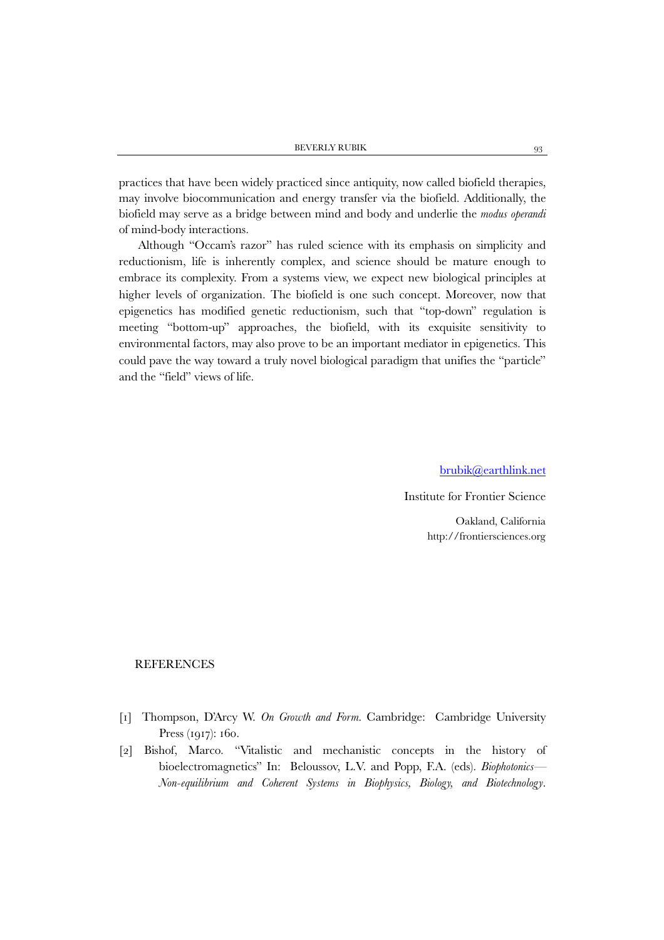practices that have been widely practiced since antiquity, now called biofield therapies, may involve biocommunication and energy transfer via the biofield. Additionally, the biofield may serve as a bridge between mind and body and underlie the *modus operandi* of mind-body interactions.

Although "Occam's razor" has ruled science with its emphasis on simplicity and reductionism, life is inherently complex, and science should be mature enough to embrace its complexity. From a systems view, we expect new biological principles at higher levels of organization. The biofield is one such concept. Moreover, now that epigenetics has modified genetic reductionism, such that "top-down" regulation is meeting "bottom-up" approaches, the biofield, with its exquisite sensitivity to environmental factors, may also prove to be an important mediator in epigenetics. This could pave the way toward a truly novel biological paradigm that unifies the "particle" and the "field" views of life.

[brubik@earthlink.net](mailto:brubik@earthlink.net)

Institute for Frontier Science

Oakland, California http://frontiersciences.org

### **REFERENCES**

- [1] Thompson, D'Arcy W. *On Growth and Form*. Cambridge: Cambridge University Press (1917): 160.
- [2] Bishof, Marco. "Vitalistic and mechanistic concepts in the history of bioelectromagnetics" In: Beloussov, L.V. and Popp, F.A. (eds). *Biophotonics— Non-equilibrium and Coherent Systems in Biophysics, Biology, and Biotechnology*.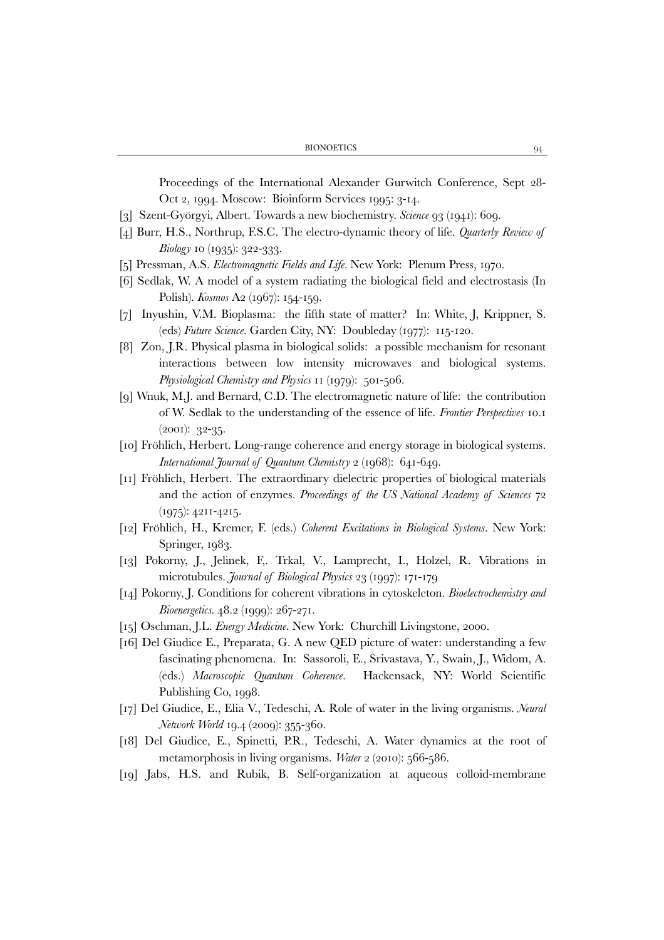Proceedings of the International Alexander Gurwitch Conference, Sept 28- Oct 2, 1994. Moscow: Bioinform Services 1995: 3-14.

- [3] Szent-Györgyi, Albert. Towards a new biochemistry. *Science* 93 (1941): 609.
- [4] Burr, H.S., Northrup, F.S.C. The electro-dynamic theory of life. *Quarterly Review of Biology* 10 (1935): 322-333.
- [5] Pressman, A.S. *Electromagnetic Fields and Life*. New York: Plenum Press, 1970.
- [6] Sedlak, W. A model of a system radiating the biological field and electrostasis (In Polish). *Kosmos* A2 (1967): 154-159.
- [7] Inyushin, V.M. Bioplasma: the fifth state of matter? In: White, J, Krippner, S. (eds) *Future Science*. Garden City, NY: Doubleday (1977): 115-120.
- [8] Zon, J.R. Physical plasma in biological solids: a possible mechanism for resonant interactions between low intensity microwaves and biological systems. *Physiological Chemistry and Physics* 11 (1979): 501-506.
- [9] Wnuk, M.J. and Bernard, C.D. The electromagnetic nature of life: the contribution of W. Sedlak to the understanding of the essence of life. *Frontier Perspectives* 10.1 (2001): 32-35.
- [10] Fröhlich, Herbert. Long-range coherence and energy storage in biological systems. *International Journal of Quantum Chemistry* 2 (1968): 641-649.
- [11] Fröhlich, Herbert. The extraordinary dielectric properties of biological materials and the action of enzymes. *Proceedings of the US National Academy of Sciences* 72 (1975): 4211-4215.
- [12] Fröhlich, H., Kremer, F. (eds.) *Coherent Excitations in Biological Systems*. New York: Springer, 1983.
- [13] Pokorny, J., Jelinek, F,. Trkal, V., Lamprecht, I., Holzel, R. Vibrations in microtubules. *Journal of Biological Physics* 23 (1997): 171-179
- [14] Pokorny, J. Conditions for coherent vibrations in cytoskeleton. *Bioelectrochemistry and Bioenergetics.* 48.2 (1999): 267-271.
- [15] Oschman, J.L. *Energy Medicine*. New York: Churchill Livingstone, 2000.
- [16] Del Giudice E., Preparata, G. A new QED picture of water: understanding a few fascinating phenomena. In: Sassoroli, E., Srivastava, Y., Swain, J., Widom, A. (eds.) *Macroscopic Quantum Coherence*. Hackensack, NY: World Scientific Publishing Co, 1998.
- [17] Del Giudice, E., Elia V., Tedeschi, A. Role of water in the living organisms. *Neural Network World* 19.4 (2009): 355-360.
- [18] Del Giudice, E., Spinetti, P.R., Tedeschi, A. Water dynamics at the root of metamorphosis in living organisms. *Water* 2 (2010): 566-586.
- [19] Jabs, H.S. and Rubik, B. Self-organization at aqueous colloid-membrane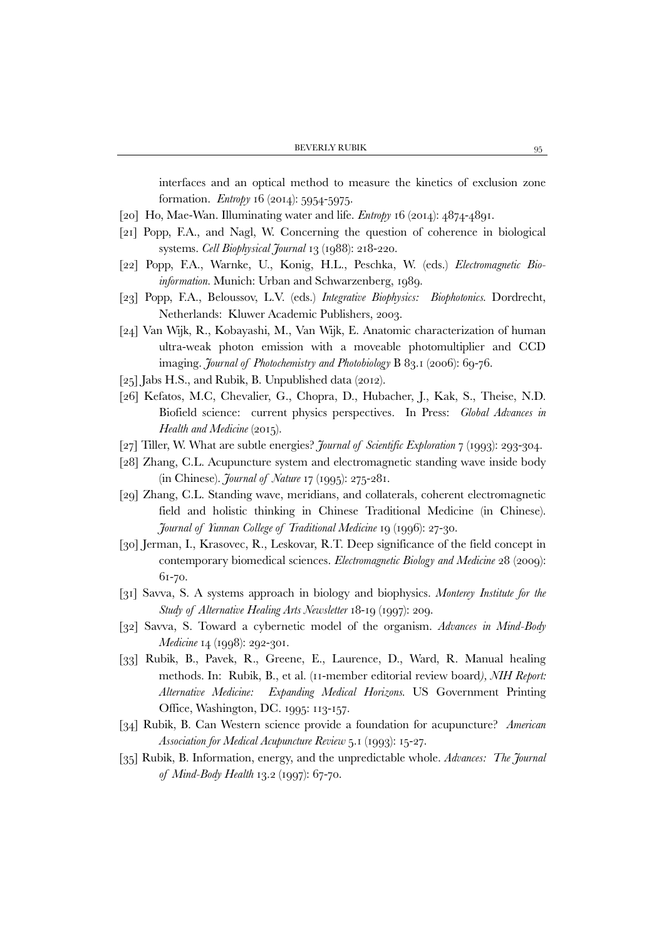interfaces and an optical method to measure the kinetics of exclusion zone formation. *Entropy* 16 (2014): 5954-5975.

- [20] Ho, Mae-Wan. Illuminating water and life. *Entropy* 16 (2014): 4874-4891.
- [21] Popp, F.A., and Nagl, W. Concerning the question of coherence in biological systems. *Cell Biophysical Journal* 13 (1988): 218-220.
- [22] Popp, F.A., Warnke, U., Konig, H.L., Peschka, W. (eds.) *Electromagnetic Bioinformation.* Munich: Urban and Schwarzenberg, 1989.
- [23] Popp, F.A., Beloussov, L.V. (eds.) *Integrative Biophysics: Biophotonics.* Dordrecht, Netherlands: Kluwer Academic Publishers, 2003.
- [24] Van Wijk, R., Kobayashi, M., Van Wijk, E. Anatomic characterization of human ultra-weak photon emission with a moveable photomultiplier and CCD imaging. *Journal of Photochemistry and Photobiology* B 83.1 (2006): 69-76.
- [25] Jabs H.S., and Rubik, B. Unpublished data (2012).
- [26] Kefatos, M.C, Chevalier, G., Chopra, D., Hubacher, J., Kak, S., Theise, N.D. Biofield science: current physics perspectives. In Press: *Global Advances in Health and Medicine* (2015).
- [27] Tiller, W. What are subtle energies? *Journal of Scientific Exploration* 7 (1993): 293-304.
- [28] Zhang, C.L. Acupuncture system and electromagnetic standing wave inside body (in Chinese). *Journal of Nature* 17 (1995): 275-281.
- [29] Zhang, C.L. Standing wave, meridians, and collaterals, coherent electromagnetic field and holistic thinking in Chinese Traditional Medicine (in Chinese). *Journal of Yunnan College of Traditional Medicine* 19 (1996): 27-30.
- [30] Jerman, I., Krasovec, R., Leskovar, R.T. Deep significance of the field concept in contemporary biomedical sciences. *Electromagnetic Biology and Medicine* 28 (2009): 61-70.
- [31] Savva, S. A systems approach in biology and biophysics. *Monterey Institute for the Study of Alternative Healing Arts Newsletter* 18-19 (1997): 209.
- [32] Savva, S. Toward a cybernetic model of the organism. *Advances in Mind-Body Medicine* 14 (1998): 292-301.
- [33] Rubik, B., Pavek, R., Greene, E., Laurence, D., Ward, R. Manual healing methods. In: Rubik, B., et al. (11-member editorial review board*), NIH Report: Alternative Medicine: Expanding Medical Horizons.* US Government Printing Office, Washington, DC. 1995: 113-157.
- [34] Rubik, B. Can Western science provide a foundation for acupuncture? *American Association for Medical Acupuncture Review* 5.1 (1993): 15-27.
- [35] Rubik, B. Information, energy, and the unpredictable whole. *Advances: The Journal of Mind-Body Health* 13.2 (1997): 67-70.